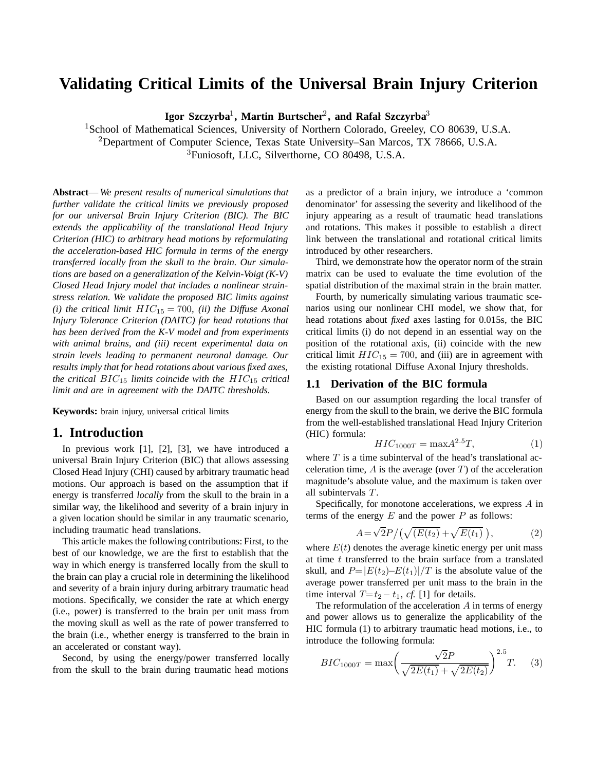# **Validating Critical Limits of the Universal Brain Injury Criterion**

**Igor Szczyrba**1**, Martin Burtscher**2**, and Rafał Szczyrba**<sup>3</sup>

<sup>1</sup>School of Mathematical Sciences, University of Northern Colorado, Greeley, CO 80639, U.S.A. <sup>2</sup>Department of Computer Science, Texas State University–San Marcos, TX 78666, U.S.A. <sup>3</sup>Funiosoft, LLC, Silverthorne, CO 80498, U.S.A.

**Abstract**— *We present results of numerical simulations that further validate the critical limits we previously proposed for our universal Brain Injury Criterion (BIC). The BIC extends the applicability of the translational Head Injury Criterion (HIC) to arbitrary head motions by reformulating the acceleration-based HIC formula in terms of the energy transferred locally from the skull to the brain. Our simulations are based on a generalization of the Kelvin-Voigt (K-V) Closed Head Injury model that includes a nonlinear strainstress relation. We validate the proposed BIC limits against (i) the critical limit*  $HIC_{15} = 700$ *, (ii) the Diffuse Axonal Injury Tolerance Criterion (DAITC) for head rotations that has been derived from the K-V model and from experiments with animal brains, and (iii) recent experimental data on strain levels leading to permanent neuronal damage. Our results imply that for head rotations about various fixed axes, the critical BIC*<sub>15</sub> *limits coincide with the HIC*<sub>15</sub> *critical limit and are in agreement with the DAITC thresholds.*

**Keywords:** brain injury, universal critical limits

# **1. Introduction**

In previous work [1], [2], [3], we have introduced a universal Brain Injury Criterion (BIC) that allows assessing Closed Head Injury (CHI) caused by arbitrary traumatic head motions. Our approach is based on the assumption that if energy is transferred *locally* from the skull to the brain in a similar way, the likelihood and severity of a brain injury in a given location should be similar in any traumatic scenario, including traumatic head translations.

This article makes the following contributions: First, to the best of our knowledge, we are the first to establish that the way in which energy is transferred locally from the skull to the brain can play a crucial role in determining the likelihood and severity of a brain injury during arbitrary traumatic head motions. Specifically, we consider the rate at which energy (i.e., power) is transferred to the brain per unit mass from the moving skull as well as the rate of power transferred to the brain (i.e., whether energy is transferred to the brain in an accelerated or constant way).

Second, by using the energy/power transferred locally from the skull to the brain during traumatic head motions as a predictor of a brain injury, we introduce a 'common denominator' for assessing the severity and likelihood of the injury appearing as a result of traumatic head translations and rotations. This makes it possible to establish a direct link between the translational and rotational critical limits introduced by other researchers.

Third, we demonstrate how the operator norm of the strain matrix can be used to evaluate the time evolution of the spatial distribution of the maximal strain in the brain matter.

Fourth, by numerically simulating various traumatic scenarios using our nonlinear CHI model, we show that, for head rotations about *fixed* axes lasting for 0.015s, the BIC critical limits (i) do not depend in an essential way on the position of the rotational axis, (ii) coincide with the new critical limit  $HIC_{15} = 700$ , and (iii) are in agreement with the existing rotational Diffuse Axonal Injury thresholds.

#### **1.1 Derivation of the BIC formula**

Based on our assumption regarding the local transfer of energy from the skull to the brain, we derive the BIC formula from the well-established translational Head Injury Criterion (HIC) formula:

$$
HIC_{1000T} = \max A^{2.5}T,
$$
 (1)

where *T* is a time subinterval of the head's translational acceleration time,  $\vec{A}$  is the average (over  $\vec{T}$ ) of the acceleration magnitude's absolute value, and the maximum is taken over all subintervals *T* .

Specifically, for monotone accelerations, we express *A* in terms of the energy  $E$  and the power  $P$  as follows:

$$
A = \sqrt{2}P / (\sqrt{(E(t_2)} + \sqrt{E(t_1)})),
$$
 (2)

where  $E(t)$  denotes the average kinetic energy per unit mass at time *t* transferred to the brain surface from a translated skull, and  $P=|E(t_2)-E(t_1)|/T$  is the absolute value of the average power transferred per unit mass to the brain in the time interval  $T=t_2-t_1$ , *cf.* [1] for details.

The reformulation of the acceleration *A* in terms of energy and power allows us to generalize the applicability of the HIC formula (1) to arbitrary traumatic head motions, i.e., to introduce the following formula:

$$
BIC_{1000T} = \max\left(\frac{\sqrt{2}P}{\sqrt{2E(t_1)} + \sqrt{2E(t_2)}}\right)^{2.5}T.
$$
 (3)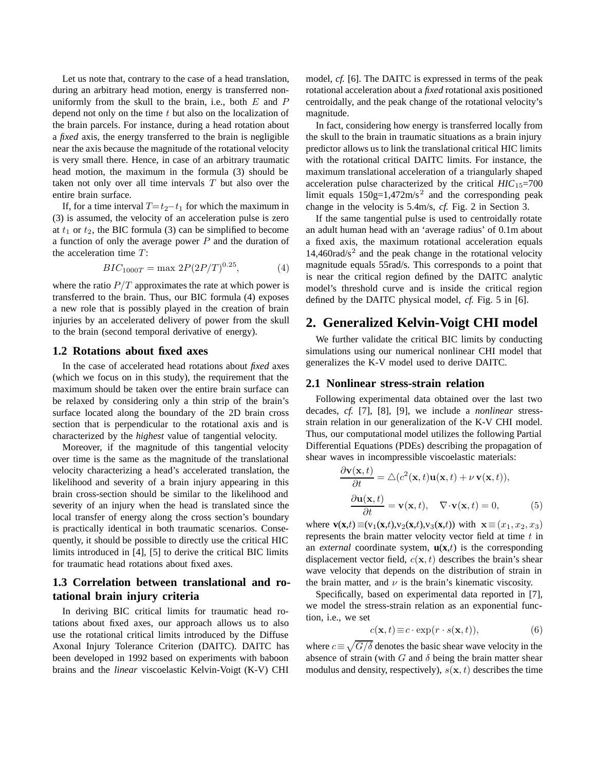Let us note that, contrary to the case of a head translation, during an arbitrary head motion, energy is transferred nonuniformly from the skull to the brain, i.e., both *E* and *P* depend not only on the time *t* but also on the localization of the brain parcels. For instance, during a head rotation about a *fixed* axis, the energy transferred to the brain is negligible near the axis because the magnitude of the rotational velocity is very small there. Hence, in case of an arbitrary traumatic head motion, the maximum in the formula (3) should be taken not only over all time intervals *T* but also over the entire brain surface.

If, for a time interval  $T=t_2-t_1$  for which the maximum in (3) is assumed, the velocity of an acceleration pulse is zero at  $t_1$  or  $t_2$ , the BIC formula (3) can be simplified to become a function of only the average power *P* and the duration of the acceleration time *T* :

$$
BIC_{1000T} = \max 2P(2P/T)^{0.25},\tag{4}
$$

where the ratio  $P/T$  approximates the rate at which power is transferred to the brain. Thus, our BIC formula (4) exposes a new role that is possibly played in the creation of brain injuries by an accelerated delivery of power from the skull to the brain (second temporal derivative of energy).

#### **1.2 Rotations about fixed axes**

In the case of accelerated head rotations about *fixed* axes (which we focus on in this study), the requirement that the maximum should be taken over the entire brain surface can be relaxed by considering only a thin strip of the brain's surface located along the boundary of the 2D brain cross section that is perpendicular to the rotational axis and is characterized by the *highest* value of tangential velocity.

Moreover, if the magnitude of this tangential velocity over time is the same as the magnitude of the translational velocity characterizing a head's accelerated translation, the likelihood and severity of a brain injury appearing in this brain cross-section should be similar to the likelihood and severity of an injury when the head is translated since the local transfer of energy along the cross section's boundary is practically identical in both traumatic scenarios. Consequently, it should be possible to directly use the critical HIC limits introduced in [4], [5] to derive the critical BIC limits for traumatic head rotations about fixed axes.

# **1.3 Correlation between translational and rotational brain injury criteria**

In deriving BIC critical limits for traumatic head rotations about fixed axes, our approach allows us to also use the rotational critical limits introduced by the Diffuse Axonal Injury Tolerance Criterion (DAITC). DAITC has been developed in 1992 based on experiments with baboon brains and the *linear* viscoelastic Kelvin-Voigt (K-V) CHI model, *cf.* [6]. The DAITC is expressed in terms of the peak rotational acceleration about a *fixed* rotational axis positioned centroidally, and the peak change of the rotational velocity's magnitude.

In fact, considering how energy is transferred locally from the skull to the brain in traumatic situations as a brain injury predictor allows us to link the translational critical HIC limits with the rotational critical DAITC limits. For instance, the maximum translational acceleration of a triangularly shaped acceleration pulse characterized by the critical  $HIC_{15}=700$ limit equals  $150g=1,472m/s^2$  and the corresponding peak change in the velocity is 5.4m/s, *cf.* Fig. 2 in Section 3.

If the same tangential pulse is used to centroidally rotate an adult human head with an 'average radius' of 0.1m about a fixed axis, the maximum rotational acceleration equals  $14,460 \text{rad/s}^2$  and the peak change in the rotational velocity magnitude equals 55rad/s. This corresponds to a point that is near the critical region defined by the DAITC analytic model's threshold curve and is inside the critical region defined by the DAITC physical model, *cf.* Fig. 5 in [6].

# **2. Generalized Kelvin-Voigt CHI model**

We further validate the critical BIC limits by conducting simulations using our numerical nonlinear CHI model that generalizes the K-V model used to derive DAITC.

#### **2.1 Nonlinear stress-strain relation**

Following experimental data obtained over the last two decades, *cf.* [7], [8], [9], we include a *nonlinear* stressstrain relation in our generalization of the K-V CHI model. Thus, our computational model utilizes the following Partial Differential Equations (PDEs) describing the propagation of shear waves in incompressible viscoelastic materials:

$$
\frac{\partial \mathbf{v}(\mathbf{x},t)}{\partial t} = \Delta(c^2(\mathbf{x},t)\mathbf{u}(\mathbf{x},t) + \nu \mathbf{v}(\mathbf{x},t)),
$$

$$
\frac{\partial \mathbf{u}(\mathbf{x},t)}{\partial t} = \mathbf{v}(\mathbf{x},t), \quad \nabla \cdot \mathbf{v}(\mathbf{x},t) = 0,
$$
(5)

where **v**(**x**,*t*) ≡(v<sub>1</sub>(**x**,*t*),v<sub>2</sub>(**x**,*t*),v<sub>3</sub>(**x**,*t*)) with **x** ≡(*x*<sub>1</sub>, *x*<sub>2</sub>, *x*<sub>3</sub>) represents the brain matter velocity vector field at time *t* in an *external* coordinate system,  $\mathbf{u}(\mathbf{x},t)$  is the corresponding displacement vector field, *c*(**x***, t*) describes the brain's shear wave velocity that depends on the distribution of strain in the brain matter, and  $\nu$  is the brain's kinematic viscosity.

Specifically, based on experimental data reported in [7], we model the stress-strain relation as an exponential function, i.e., we set

$$
c(\mathbf{x},t) \equiv c \cdot \exp(r \cdot s(\mathbf{x},t)),\tag{6}
$$

where  $c \equiv \sqrt{G/\delta}$  denotes the basic shear wave velocity in the absence of strain (with  $G$  and  $\delta$  being the brain matter shear modulus and density, respectively),  $s(\mathbf{x}, t)$  describes the time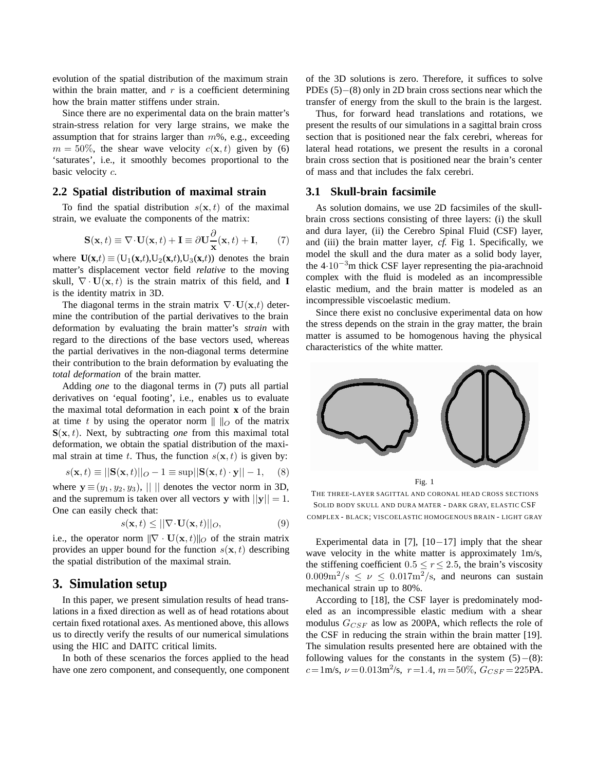evolution of the spatial distribution of the maximum strain within the brain matter, and *r* is a coefficient determining how the brain matter stiffens under strain.

Since there are no experimental data on the brain matter's strain-stress relation for very large strains, we make the assumption that for strains larger than *m*%, e.g., exceeding  $m = 50\%$ , the shear wave velocity  $c(\mathbf{x}, t)$  given by (6) 'saturates', i.e., it smoothly becomes proportional to the basic velocity *c*.

#### **2.2 Spatial distribution of maximal strain**

To find the spatial distribution  $s(\mathbf{x}, t)$  of the maximal strain, we evaluate the components of the matrix:

$$
\mathbf{S}(\mathbf{x},t) \equiv \nabla \cdot \mathbf{U}(\mathbf{x},t) + \mathbf{I} \equiv \partial \mathbf{U} \frac{\partial}{\mathbf{x}}(\mathbf{x},t) + \mathbf{I},\qquad(7)
$$

where  $U(\mathbf{x},t) \equiv (U_1(\mathbf{x},t),U_2(\mathbf{x},t),U_3(\mathbf{x},t))$  denotes the brain matter's displacement vector field *relative* to the moving skull,  $\nabla \cdot \mathbf{U}(\mathbf{x}, t)$  is the strain matrix of this field, and **I** is the identity matrix in 3D.

The diagonal terms in the strain matrix  $\nabla \cdot \mathbf{U}(\mathbf{x},t)$  determine the contribution of the partial derivatives to the brain deformation by evaluating the brain matter's *strain* with regard to the directions of the base vectors used, whereas the partial derivatives in the non-diagonal terms determine their contribution to the brain deformation by evaluating the *total deformation* of the brain matter.

Adding *one* to the diagonal terms in (7) puts all partial derivatives on 'equal footing', i.e., enables us to evaluate the maximal total deformation in each point **x** of the brain at time *t* by using the operator norm  $|| \cdot ||_O$  of the matrix  $S(x, t)$ . Next, by subtracting *one* from this maximal total deformation, we obtain the spatial distribution of the maximal strain at time *t*. Thus, the function  $s(\mathbf{x}, t)$  is given by:

$$
s(\mathbf{x}, t) \equiv ||\mathbf{S}(\mathbf{x}, t)||_O - 1 \equiv \sup ||\mathbf{S}(\mathbf{x}, t) \cdot \mathbf{y}|| - 1,
$$
 (8)

where  $y \equiv (y_1, y_2, y_3)$ , || || denotes the vector norm in 3D, and the supremum is taken over all vectors **y** with  $||y|| = 1$ . One can easily check that:

$$
s(\mathbf{x},t) \le ||\nabla \cdot \mathbf{U}(\mathbf{x},t)||_O,\tag{9}
$$

i.e., the operator norm  $\|\nabla \cdot \mathbf{U}(\mathbf{x}, t)\|_0$  of the strain matrix provides an upper bound for the function  $s(\mathbf{x}, t)$  describing the spatial distribution of the maximal strain.

# **3. Simulation setup**

In this paper, we present simulation results of head translations in a fixed direction as well as of head rotations about certain fixed rotational axes. As mentioned above, this allows us to directly verify the results of our numerical simulations using the HIC and DAITC critical limits.

In both of these scenarios the forces applied to the head have one zero component, and consequently, one component of the 3D solutions is zero. Therefore, it suffices to solve PDEs (5)–(8) only in 2D brain cross sections near which the transfer of energy from the skull to the brain is the largest.

Thus, for forward head translations and rotations, we present the results of our simulations in a sagittal brain cross section that is positioned near the falx cerebri, whereas for lateral head rotations, we present the results in a coronal brain cross section that is positioned near the brain's center of mass and that includes the falx cerebri.

#### **3.1 Skull-brain facsimile**

As solution domains, we use 2D facsimiles of the skullbrain cross sections consisting of three layers: (i) the skull and dura layer, (ii) the Cerebro Spinal Fluid (CSF) layer, and (iii) the brain matter layer, *cf.* Fig 1. Specifically, we model the skull and the dura mater as a solid body layer, the  $4·10<sup>-3</sup>m$  thick CSF layer representing the pia-arachnoid complex with the fluid is modeled as an incompressible elastic medium, and the brain matter is modeled as an incompressible viscoelastic medium.

Since there exist no conclusive experimental data on how the stress depends on the strain in the gray matter, the brain matter is assumed to be homogenous having the physical characteristics of the white matter.



Fig. 1

THE THREE-LAYER SAGITTAL AND CORONAL HEAD CROSS SECTIONS SOLID BODY SKULL AND DURA MATER - DARK GRAY, ELASTIC CSF COMPLEX - BLACK; VISCOELASTIC HOMOGENOUS BRAIN - LIGHT GRAY

Experimental data in [7],  $[10-17]$  imply that the shear wave velocity in the white matter is approximately 1m/s, the stiffening coefficient  $0.5 \le r \le 2.5$ , the brain's viscosity  $0.009 \text{m}^2/\text{s} \leq \nu \leq 0.017 \text{m}^2/\text{s}$ , and neurons can sustain mechanical strain up to 80%.

According to [18], the CSF layer is predominately modeled as an incompressible elastic medium with a shear modulus  $G_{CSF}$  as low as 200PA, which reflects the role of the CSF in reducing the strain within the brain matter [19]. The simulation results presented here are obtained with the following values for the constants in the system  $(5)$  – $(8)$ :  $c = 1$ m/s,  $\nu = 0.013$ m<sup>2</sup>/s,  $r = 1.4$ ,  $m = 50\%$ ,  $G_{CSF} = 225$ PA.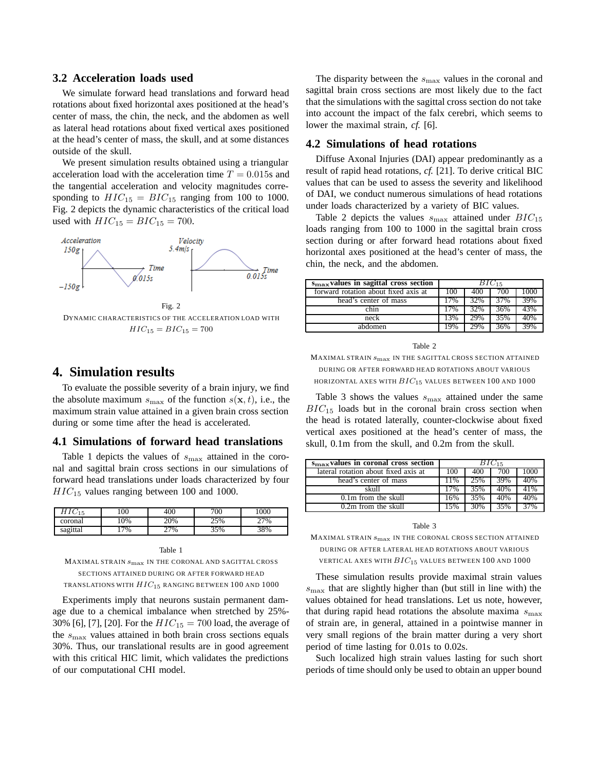#### **3.2 Acceleration loads used**

We simulate forward head translations and forward head rotations about fixed horizontal axes positioned at the head's center of mass, the chin, the neck, and the abdomen as well as lateral head rotations about fixed vertical axes positioned at the head's center of mass, the skull, and at some distances outside of the skull.

We present simulation results obtained using a triangular acceleration load with the acceleration time  $T = 0.015$ s and the tangential acceleration and velocity magnitudes corresponding to  $HIC_{15} = BIC_{15}$  ranging from 100 to 1000. Fig. 2 depicts the dynamic characteristics of the critical load used with  $HIC_{15} = BIC_{15} = 700$ .



### **4. Simulation results**

To evaluate the possible severity of a brain injury, we find the absolute maximum  $s_{\text{max}}$  of the function  $s(\mathbf{x}, t)$ , i.e., the maximum strain value attained in a given brain cross section during or some time after the head is accelerated.

#### **4.1 Simulations of forward head translations**

Table 1 depicts the values of *s*max attained in the coronal and sagittal brain cross sections in our simulations of forward head translations under loads characterized by four *HIC*<sup>15</sup> values ranging between 100 and 1000.

| 15       | $100_1$ | 400   | 700 | 000    |
|----------|---------|-------|-----|--------|
| coronal  | 10%     | 20%   | 25% | $77\%$ |
| sagittal | 17%     | $7\%$ | 35% | 38%    |

MAXIMAL STRAIN  $s_{\rm max}$  IN THE CORONAL AND SAGITTAL CROSS SECTIONS ATTAINED DURING OR AFTER FORWARD HEAD TRANSLATIONS WITH  $HIC_{15}$  ranging between 100 and 1000

Experiments imply that neurons sustain permanent damage due to a chemical imbalance when stretched by 25%- 30% [6], [7], [20]. For the  $HIC_{15} = 700$  load, the average of the *s*max values attained in both brain cross sections equals 30%. Thus, our translational results are in good agreement with this critical HIC limit, which validates the predictions of our computational CHI model.

The disparity between the  $s_{\text{max}}$  values in the coronal and sagittal brain cross sections are most likely due to the fact that the simulations with the sagittal cross section do not take into account the impact of the falx cerebri, which seems to lower the maximal strain, *cf.* [6].

#### **4.2 Simulations of head rotations**

Diffuse Axonal Injuries (DAI) appear predominantly as a result of rapid head rotations, *cf.* [21]. To derive critical BIC values that can be used to assess the severity and likelihood of DAI, we conduct numerous simulations of head rotations under loads characterized by a variety of BIC values.

Table 2 depicts the values  $s_{\text{max}}$  attained under  $BIC_{15}$ loads ranging from 100 to 1000 in the sagittal brain cross section during or after forward head rotations about fixed horizontal axes positioned at the head's center of mass, the chin, the neck, and the abdomen.

| $smax$ values in sagittal cross section | $BIC_{15}$ |     |     |     |
|-----------------------------------------|------------|-----|-----|-----|
| forward rotation about fixed axis at    | 100        |     | 700 | (M) |
| head's center of mass                   | 17%        | 32% | 37% | 39% |
| chin                                    | 17%        | 32% | 36% | 13% |
| neck                                    | 13%        | 29% | 35% | 40% |
| abdomen                                 | 9%         |     | 36% |     |

| ۰.<br>٠<br>۰, |  |
|---------------|--|
|---------------|--|

MAXIMAL STRAIN  $s_{\rm max}$  IN THE SAGITTAL CROSS SECTION ATTAINED DURING OR AFTER FORWARD HEAD ROTATIONS ABOUT VARIOUS HORIZONTAL AXES WITH  $BIC_{15}$  values between 100 and 1000

Table 3 shows the values  $s_{\text{max}}$  attained under the same  $BIC_{15}$  loads but in the coronal brain cross section when the head is rotated laterally, counter-clockwise about fixed vertical axes positioned at the head's center of mass, the skull, 0.1m from the skull, and 0.2m from the skull.

| $smax$ values in coronal cross section | $BIC_{15}$ |     |     |      |
|----------------------------------------|------------|-----|-----|------|
| lateral rotation about fixed axis at   |            | 400 | 700 | 1000 |
| head's center of mass                  | 11%        | 25% | 39% | 40%  |
| skull                                  | 17%        | 35% | 40% | 41%  |
| $0.1m$ from the skull                  | 16%        | 35% | 40% | 40%  |
| 0.2m from the skull                    | 5%         | 30% | 35% | 37%  |

Table 3

MAXIMAL STRAIN smax IN THE CORONAL CROSS SECTION ATTAINED DURING OR AFTER LATERAL HEAD ROTATIONS ABOUT VARIOUS VERTICAL AXES WITH  $BIC_{15}$  values between 100 and 1000

These simulation results provide maximal strain values  $s_{\text{max}}$  that are slightly higher than (but still in line with) the values obtained for head translations. Let us note, however, that during rapid head rotations the absolute maxima  $s_{\text{max}}$ of strain are, in general, attained in a pointwise manner in very small regions of the brain matter during a very short period of time lasting for 0.01s to 0.02s.

Such localized high strain values lasting for such short periods of time should only be used to obtain an upper bound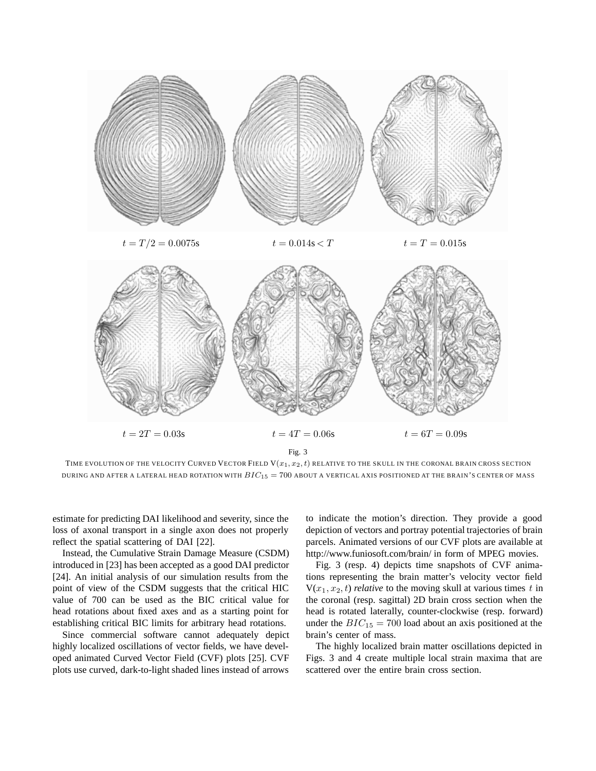

TIME EVOLUTION OF THE VELOCITY CURVED VECTOR FIELD  $V(x_1, x_2, t)$  relative to the skull in the coronal brain cross section DURING AND AFTER A LATERAL HEAD ROTATION WITH  $BIC_{15} = 700$  about a vertical axis positioned at the brain's center of mass

estimate for predicting DAI likelihood and severity, since the loss of axonal transport in a single axon does not properly reflect the spatial scattering of DAI [22].

Instead, the Cumulative Strain Damage Measure (CSDM) introduced in [23] has been accepted as a good DAI predictor [24]. An initial analysis of our simulation results from the point of view of the CSDM suggests that the critical HIC value of 700 can be used as the BIC critical value for head rotations about fixed axes and as a starting point for establishing critical BIC limits for arbitrary head rotations.

Since commercial software cannot adequately depict highly localized oscillations of vector fields, we have developed animated Curved Vector Field (CVF) plots [25]. CVF plots use curved, dark-to-light shaded lines instead of arrows to indicate the motion's direction. They provide a good depiction of vectors and portray potential trajectories of brain parcels. Animated versions of our CVF plots are available at http://www.funiosoft.com/brain/ in form of MPEG movies.

Fig. 3 (resp. 4) depicts time snapshots of CVF animations representing the brain matter's velocity vector field  $V(x_1, x_2, t)$  *relative* to the moving skull at various times *t* in the coronal (resp. sagittal) 2D brain cross section when the head is rotated laterally, counter-clockwise (resp. forward) under the  $BIC_{15} = 700$  load about an axis positioned at the brain's center of mass.

The highly localized brain matter oscillations depicted in Figs. 3 and 4 create multiple local strain maxima that are scattered over the entire brain cross section.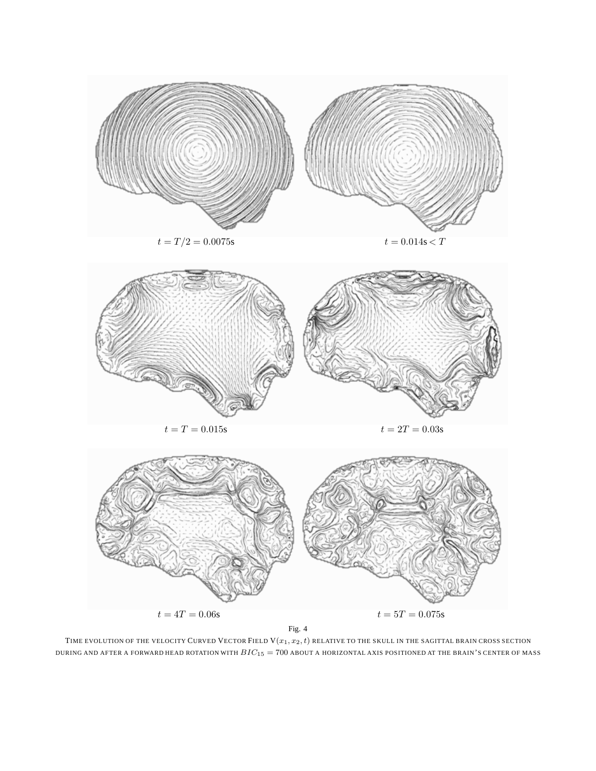

Fig. 4

TIME EVOLUTION OF THE VELOCITY CURVED VECTOR FIELD  ${\rm V}(x_1,x_2,t)$  RELATIVE TO THE SKULL IN THE SAGITTAL BRAIN CROSS SECTION DURING AND AFTER A FORWARD HEAD ROTATION WITH  $BIC_{15} = 700$  about a horizontal axis positioned at the brain's center of mass